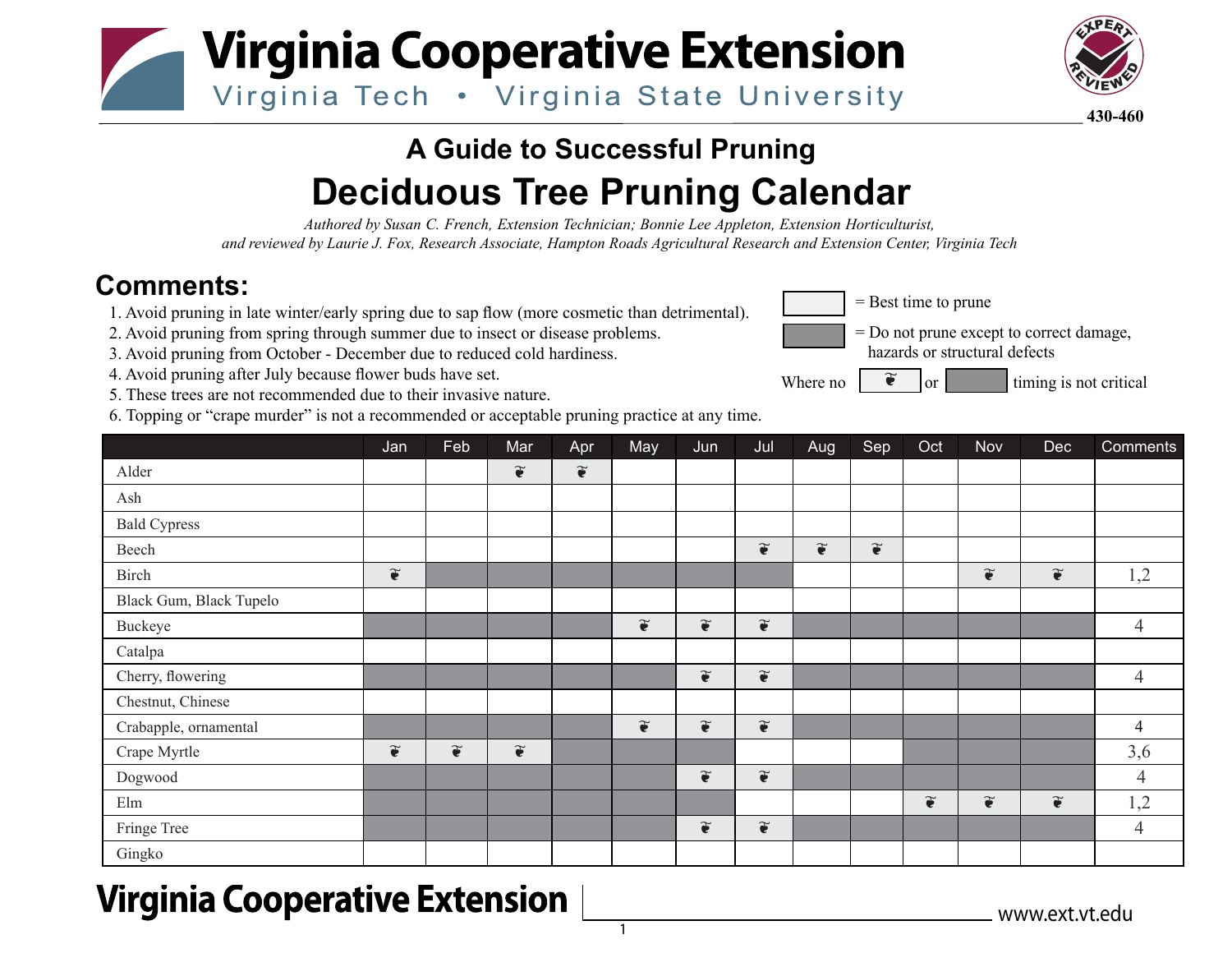



**430-460**

## **A Guide to Successful Pruning Deciduous Tree Pruning Calendar**

*Authored by Susan C. French, Extension Technician; Bonnie Lee Appleton, Extension Horticulturist, and reviewed by Laurie J. Fox, Research Associate, Hampton Roads Agricultural Research and Extension Center, Virginia Tech*

## **Comments:**

1. Avoid pruning in late winter/early spring due to sap flow (more cosmetic than detrimental).

- 2. Avoid pruning from spring through summer due to insect or disease problems.
- 3. Avoid pruning from October December due to reduced cold hardiness.
- 4. Avoid pruning after July because flower buds have set.
- 5. These trees are not recommended due to their invasive nature.
- 6. Topping or "crape murder" is not a recommended or acceptable pruning practice at any time.



- = Do not prune except to correct damage, hazards or structural defects
- Where no  $\int$   $\tilde{\bullet}$  or  $\int$  timing is not critical ❦

|                         | Jan                      | Feb                   | Mar                      | Apr                      | May                      | Jun                      | Jul                      | Aug                   | Sep                   | Oct                   | Nov                      | <b>Dec</b>               | Comments       |
|-------------------------|--------------------------|-----------------------|--------------------------|--------------------------|--------------------------|--------------------------|--------------------------|-----------------------|-----------------------|-----------------------|--------------------------|--------------------------|----------------|
| Alder                   |                          |                       | $\widetilde{\mathbf{e}}$ | $\widetilde{\mathbf{e}}$ |                          |                          |                          |                       |                       |                       |                          |                          |                |
| Ash                     |                          |                       |                          |                          |                          |                          |                          |                       |                       |                       |                          |                          |                |
| <b>Bald Cypress</b>     |                          |                       |                          |                          |                          |                          |                          |                       |                       |                       |                          |                          |                |
| Beech                   |                          |                       |                          |                          |                          |                          | $\widetilde{\bullet}$    | $\widetilde{\bullet}$ | $\widetilde{\bullet}$ |                       |                          |                          |                |
| Birch                   | $\widetilde{\mathbf{e}}$ |                       |                          |                          |                          |                          |                          |                       |                       |                       | $\widetilde{\mathbf{e}}$ | $\widetilde{\mathbf{e}}$ | 1,2            |
| Black Gum, Black Tupelo |                          |                       |                          |                          |                          |                          |                          |                       |                       |                       |                          |                          |                |
| Buckeye                 |                          |                       |                          |                          | $\widetilde{\bullet}$    | $\widetilde{\mathbf{e}}$ | $\widetilde{\bullet}$    |                       |                       |                       |                          |                          | $\overline{4}$ |
| Catalpa                 |                          |                       |                          |                          |                          |                          |                          |                       |                       |                       |                          |                          |                |
| Cherry, flowering       |                          |                       |                          |                          |                          | $\widetilde{\bullet}$    | $\widetilde{\bullet}$    |                       |                       |                       |                          |                          | $\overline{4}$ |
| Chestnut, Chinese       |                          |                       |                          |                          |                          |                          |                          |                       |                       |                       |                          |                          |                |
| Crabapple, ornamental   |                          |                       |                          |                          | $\widetilde{\mathbf{e}}$ | $\widetilde{\mathbf{e}}$ | $\widetilde{\mathbf{e}}$ |                       |                       |                       |                          |                          | $\overline{4}$ |
| Crape Myrtle            | $\widetilde{\mathbf{e}}$ | $\widetilde{\bullet}$ | $\widetilde{\mathbf{e}}$ |                          |                          |                          |                          |                       |                       |                       |                          |                          | 3,6            |
| Dogwood                 |                          |                       |                          |                          |                          | $\widetilde{\mathbf{e}}$ | $\widetilde{\bullet}$    |                       |                       |                       |                          |                          | $\overline{4}$ |
| $\rm{Elm}$              |                          |                       |                          |                          |                          |                          |                          |                       |                       | $\widetilde{\bullet}$ | $\widetilde{\mathbf{e}}$ | $\widetilde{\mathbf{e}}$ | 1,2            |
| Fringe Tree             |                          |                       |                          |                          |                          | $\widetilde{\bullet}$    | $\widetilde{\bullet}$    |                       |                       |                       |                          |                          | $\overline{4}$ |
| Gingko                  |                          |                       |                          |                          |                          |                          |                          |                       |                       |                       |                          |                          |                |

## **Virginia Cooperative Extension**